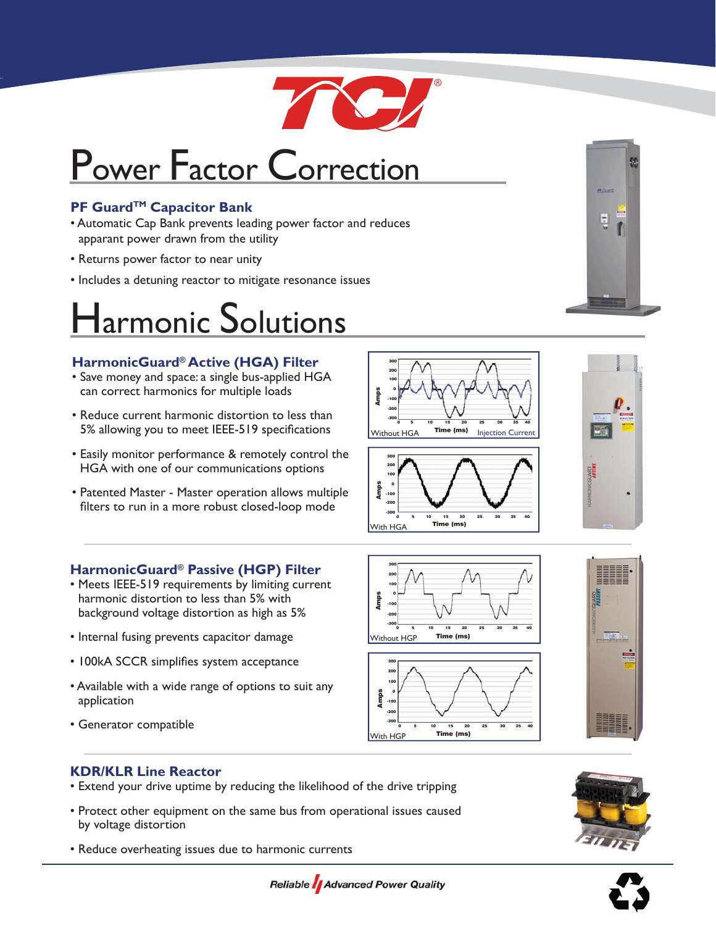

# Power Factor Correction

## **PF Guard™ Capacitor Bank**

- Automatic Cap Bank prevents leading power factor and reduces apparant power drawn from the utility
- Returns power factor to near unity
- Includes a detuning reactor to mitigate resonance issues

## Harmonic Solutions

### **HarmonicGuard® Active (HGA) Filter**

- Save money and space: a single bus-applied HGA can correct harmonics for multiple loads
- Reduce current harmonic distortion to less than 5% allowing you to meet IEEE-519 specifications
- Easily monitor performance & remotely control the HGA with one of our communications options
- Patented Master Master operation allows multiple filters to run in a more robust closed-loop mode

## **HarmonicGuard® Passive (HGP) Filter**

- Meets IEEE-519 requirements by limiting current harmonic distortion to less than 5% with background voltage distortion as high as 5%
- Internal fusing prevents capacitor damage
- 100kA SCCR simplifies system acceptance
- Available with a wide range of options to suit any application
- Generator compatible











## **KDR/KLR Line Reactor**

- Extend your drive uptime by reducing the likelihood of the drive tripping
- Protect other equipment on the same bus from operational issues caused by voltage distortion
- Reduce overheating issues due to harmonic currents